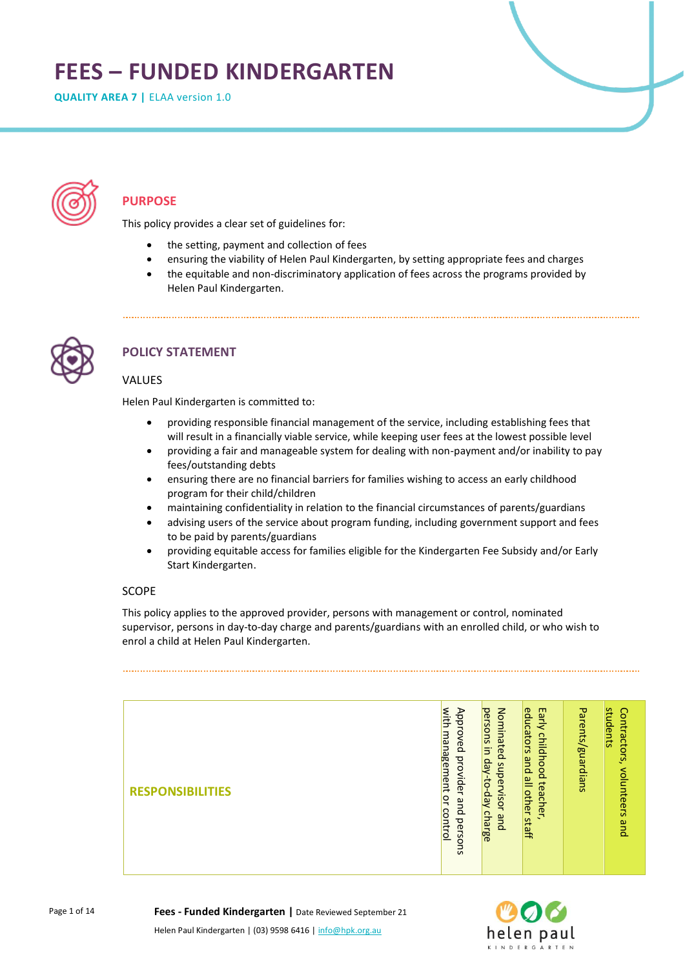# **FEES – FUNDED KINDERGARTEN**

**QUALITY AREA 7 |** ELAA version 1.0



# **PURPOSE**

This policy provides a clear set of guidelines for:

- the setting, payment and collection of fees
- ensuring the viability of Helen Paul Kindergarten, by setting appropriate fees and charges
- the equitable and non-discriminatory application of fees across the programs provided by Helen Paul Kindergarten.



# **POLICY STATEMENT**

## VALUES

Helen Paul Kindergarten is committed to:

- providing responsible financial management of the service, including establishing fees that will result in a financially viable service, while keeping user fees at the lowest possible level
- providing a fair and manageable system for dealing with non-payment and/or inability to pay fees/outstanding debts
- ensuring there are no financial barriers for families wishing to access an early childhood program for their child/children
- maintaining confidentiality in relation to the financial circumstances of parents/guardians
- advising users of the service about program funding, including government support and fees to be paid by parents/guardians
- providing equitable access for families eligible for the Kindergarten Fee Subsidy and/or Early Start Kindergarten.

## SCOPE

This policy applies to the approved provider, persons with management or control, nominated supervisor, persons in day-to-day charge and parents/guardians with an enrolled child, or who wish to enrol a child at Helen Paul Kindergarten.

| <b>RESPONSIBILITIES</b> | with<br>Approved<br>management<br>provider<br>ļς<br>pue<br>control<br>persons | Nominated<br>persons in<br>day-to-day charge<br>supervisor<br>and | Early<br>educators<br>childhood<br>pue<br>all other<br>teacher<br>S<br>taff | Parents/guardians | students<br>Contractors,<br>volunteers<br>pue |
|-------------------------|-------------------------------------------------------------------------------|-------------------------------------------------------------------|-----------------------------------------------------------------------------|-------------------|-----------------------------------------------|



**Fees - Funded Kindergarten |** Date Reviewed September 21

Helen Paul Kindergarten | (03) 9598 6416 | info@hpk.org.au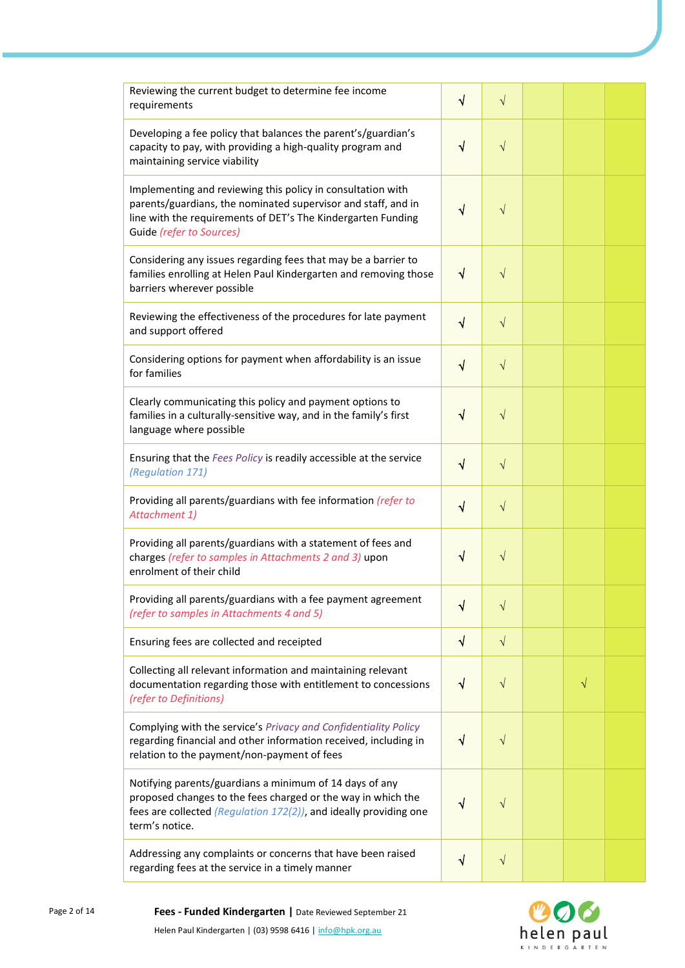| Reviewing the current budget to determine fee income<br>requirements                                                                                                                                                     | $\sqrt{ }$ | $\sqrt{ }$ |   |  |
|--------------------------------------------------------------------------------------------------------------------------------------------------------------------------------------------------------------------------|------------|------------|---|--|
| Developing a fee policy that balances the parent's/guardian's<br>capacity to pay, with providing a high-quality program and<br>maintaining service viability                                                             | $\sqrt{ }$ | $\sqrt{ }$ |   |  |
| Implementing and reviewing this policy in consultation with<br>parents/guardians, the nominated supervisor and staff, and in<br>line with the requirements of DET's The Kindergarten Funding<br>Guide (refer to Sources) | √          | $\sqrt{}$  |   |  |
| Considering any issues regarding fees that may be a barrier to<br>families enrolling at Helen Paul Kindergarten and removing those<br>barriers wherever possible                                                         | $\sqrt{ }$ | $\sqrt{ }$ |   |  |
| Reviewing the effectiveness of the procedures for late payment<br>and support offered                                                                                                                                    | √          | $\sqrt{ }$ |   |  |
| Considering options for payment when affordability is an issue<br>for families                                                                                                                                           | V          | $\sqrt{ }$ |   |  |
| Clearly communicating this policy and payment options to<br>families in a culturally-sensitive way, and in the family's first<br>language where possible                                                                 | $\sqrt{ }$ | $\sqrt{}$  |   |  |
| Ensuring that the Fees Policy is readily accessible at the service<br>(Regulation 171)                                                                                                                                   | √          | $\sqrt{}$  |   |  |
| Providing all parents/guardians with fee information (refer to<br>Attachment 1)                                                                                                                                          | $\sqrt{ }$ | $\sqrt{}$  |   |  |
| Providing all parents/guardians with a statement of fees and<br>charges (refer to samples in Attachments 2 and 3) upon<br>enrolment of their child                                                                       | V          | $\sqrt{}$  |   |  |
| Providing all parents/guardians with a fee payment agreement<br>(refer to samples in Attachments 4 and 5)                                                                                                                | V          | $\sqrt{}$  |   |  |
| Ensuring fees are collected and receipted                                                                                                                                                                                | $\sqrt{ }$ | $\sqrt{ }$ |   |  |
| Collecting all relevant information and maintaining relevant<br>documentation regarding those with entitlement to concessions<br>(refer to Definitions)                                                                  | N          | $\sqrt{ }$ | V |  |
| Complying with the service's Privacy and Confidentiality Policy<br>regarding financial and other information received, including in<br>relation to the payment/non-payment of fees                                       | $\sqrt{ }$ | $\sqrt{}$  |   |  |
| Notifying parents/guardians a minimum of 14 days of any<br>proposed changes to the fees charged or the way in which the<br>fees are collected (Regulation 172(2)), and ideally providing one<br>term's notice.           | V          | $\sqrt{}$  |   |  |
| Addressing any complaints or concerns that have been raised<br>regarding fees at the service in a timely manner                                                                                                          | ٦          | $\sqrt{}$  |   |  |



Helen Paul Kindergarten | (03) 9598 6416 | info@hpk.org.au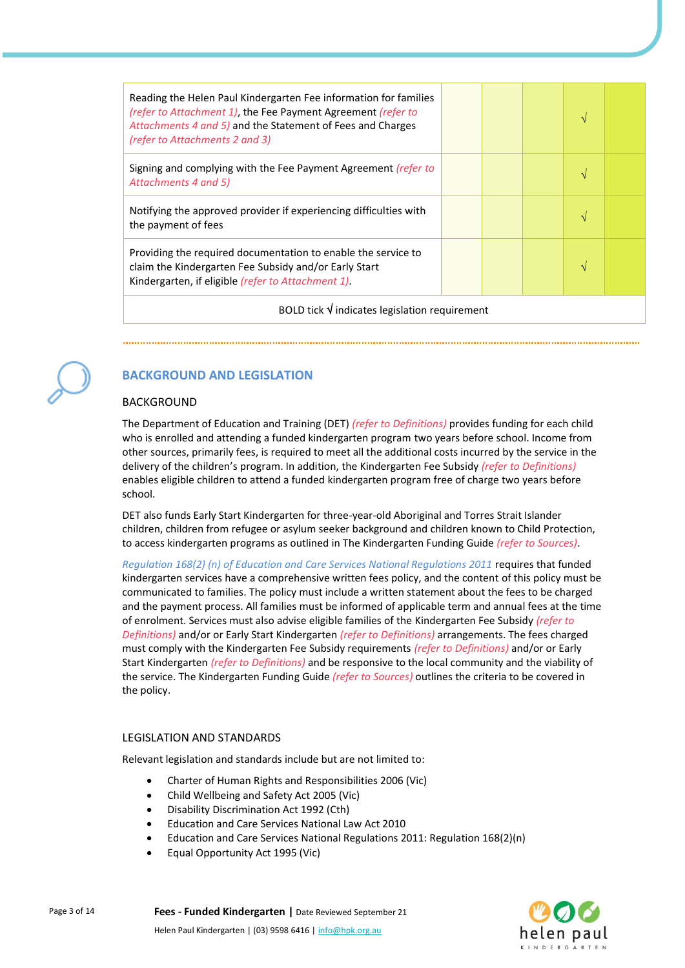| Reading the Helen Paul Kindergarten Fee information for families<br>(refer to Attachment 1), the Fee Payment Agreement (refer to<br>Attachments 4 and 5) and the Statement of Fees and Charges<br>(refer to Attachments 2 and 3) |  |  |  | N             |  |  |  |
|----------------------------------------------------------------------------------------------------------------------------------------------------------------------------------------------------------------------------------|--|--|--|---------------|--|--|--|
| Signing and complying with the Fee Payment Agreement <i>(refer to</i><br>Attachments 4 and 5)                                                                                                                                    |  |  |  | N             |  |  |  |
| Notifying the approved provider if experiencing difficulties with<br>the payment of fees                                                                                                                                         |  |  |  |               |  |  |  |
| Providing the required documentation to enable the service to<br>claim the Kindergarten Fee Subsidy and/or Early Start<br>Kindergarten, if eligible (refer to Attachment 1).                                                     |  |  |  | $\mathcal{N}$ |  |  |  |
| BOLD tick $\sqrt{}$ indicates legislation requirement                                                                                                                                                                            |  |  |  |               |  |  |  |



# **BACKGROUND AND LEGISLATION**

#### BACKGROUND

The Department of Education and Training (DET) *(refer to Definitions)* provides funding for each child who is enrolled and attending a funded kindergarten program two years before school. Income from other sources, primarily fees, is required to meet all the additional costs incurred by the service in the delivery of the children's program. In addition, the Kindergarten Fee Subsidy *(refer to Definitions)* enables eligible children to attend a funded kindergarten program free of charge two years before school.

DET also funds Early Start Kindergarten for three-year-old Aboriginal and Torres Strait Islander children, children from refugee or asylum seeker background and children known to Child Protection, to access kindergarten programs as outlined in The Kindergarten Funding Guide *(refer to Sources)*.

*Regulation 168(2) (n) of Education and Care Services National Regulations 2011* requires that funded kindergarten services have a comprehensive written fees policy, and the content of this policy must be communicated to families. The policy must include a written statement about the fees to be charged and the payment process. All families must be informed of applicable term and annual fees at the time of enrolment. Services must also advise eligible families of the Kindergarten Fee Subsidy *(refer to Definitions)* and/or or Early Start Kindergarten *(refer to Definitions)* arrangements. The fees charged must comply with the Kindergarten Fee Subsidy requirements *(refer to Definitions)* and/or or Early Start Kindergarten *(refer to Definitions)* and be responsive to the local community and the viability of the service. The Kindergarten Funding Guide *(refer to Sources)* outlines the criteria to be covered in the policy.

#### LEGISLATION AND STANDARDS

Relevant legislation and standards include but are not limited to:

- Charter of Human Rights and Responsibilities 2006 (Vic)
- Child Wellbeing and Safety Act 2005 (Vic)
- Disability Discrimination Act 1992 (Cth)
- Education and Care Services National Law Act 2010
- Education and Care Services National Regulations 2011: Regulation 168(2)(n)
- Equal Opportunity Act 1995 (Vic)

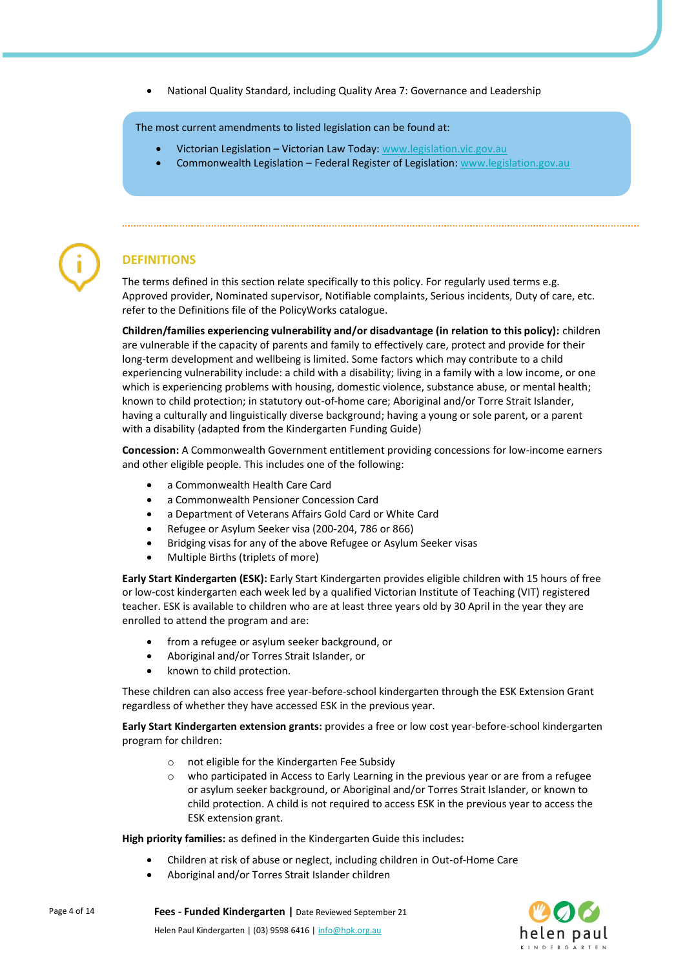• National Quality Standard, including Quality Area 7: Governance and Leadership

The most current amendments to listed legislation can be found at:

- Victorian Legislation Victorian Law Today: [www.legislation.vic.gov.au](http://www.legislation.vic.gov.au/)
- Commonwealth Legislation Federal Register of Legislation: [www.legislation.gov.au](http://www.legislation.gov.au/)



# **DEFINITIONS**

The terms defined in this section relate specifically to this policy. For regularly used terms e.g. Approved provider, Nominated supervisor, Notifiable complaints, Serious incidents, Duty of care, etc. refer to the Definitions file of the PolicyWorks catalogue.

**Children/families experiencing vulnerability and/or disadvantage (in relation to this policy):** children are vulnerable if the capacity of parents and family to effectively care, protect and provide for their long-term development and wellbeing is limited. Some factors which may contribute to a child experiencing vulnerability include: a child with a disability; living in a family with a low income, or one which is experiencing problems with housing, domestic violence, substance abuse, or mental health; known to child protection; in statutory out-of-home care; Aboriginal and/or Torre Strait Islander, having a culturally and linguistically diverse background; having a young or sole parent, or a parent with a disability (adapted from the Kindergarten Funding Guide)

**Concession:** A Commonwealth Government entitlement providing concessions for low-income earners and other eligible people. This includes one of the following:

- a Commonwealth Health Care Card
- a Commonwealth Pensioner Concession Card
- a Department of Veterans Affairs Gold Card or White Card
- Refugee or Asylum Seeker visa (200-204, 786 or 866)
- Bridging visas for any of the above Refugee or Asylum Seeker visas
- Multiple Births (triplets of more)

**Early Start Kindergarten (ESK):** Early Start Kindergarten provides eligible children with 15 hours of free or low-cost kindergarten each week led by a qualified Victorian Institute of Teaching (VIT) registered teacher. ESK is available to children who are at least three years old by 30 April in the year they are enrolled to attend the program and are:

- from a refugee or asylum seeker background, or
- Aboriginal and/or Torres Strait Islander, or
- known to child protection.

These children can also access free year-before-school kindergarten through the ESK Extension Grant regardless of whether they have accessed ESK in the previous year.

**Early Start Kindergarten extension grants:** provides a free or low cost year-before-school kindergarten program for children:

- o not eligible for the Kindergarten Fee Subsidy
- o who participated in Access to Early Learning in the previous year or are from a refugee or asylum seeker background, or Aboriginal and/or Torres Strait Islander, or known to child protection. A child is not required to access ESK in the previous year to access the ESK extension grant.

**High priority families:** as defined in the Kindergarten Guide this includes**:**

- Children at risk of abuse or neglect, including children in Out-of-Home Care
- Aboriginal and/or Torres Strait Islander children

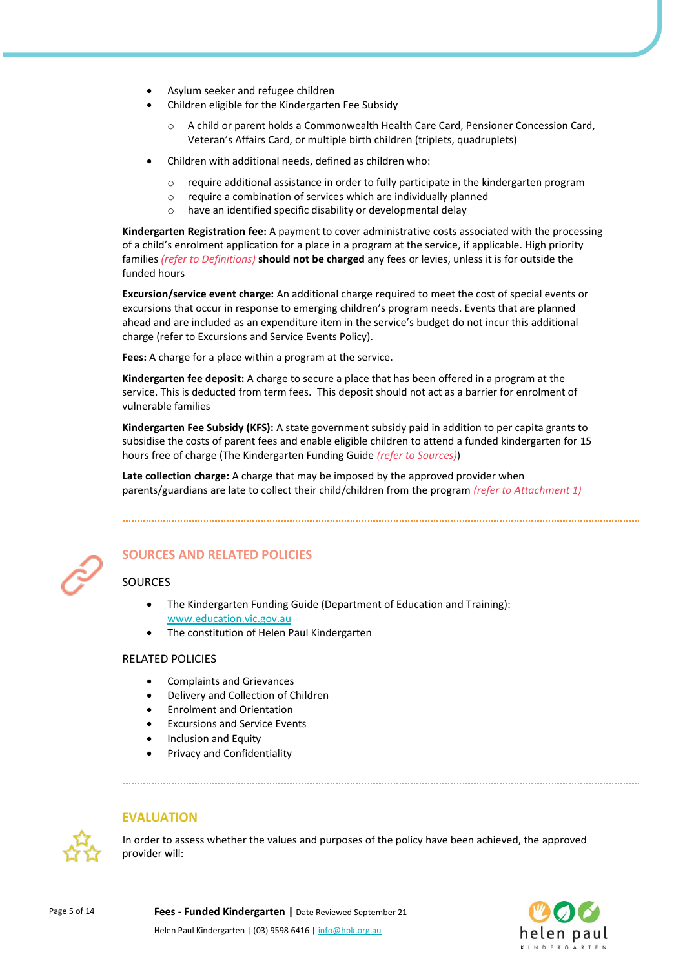- Asylum seeker and refugee children
- Children eligible for the Kindergarten Fee Subsidy
	- A child or parent holds a Commonwealth Health Care Card, Pensioner Concession Card, Veteran's Affairs Card, or multiple birth children (triplets, quadruplets)
- Children with additional needs, defined as children who:
	- o require additional assistance in order to fully participate in the kindergarten program
	- o require a combination of services which are individually planned
	- o have an identified specific disability or developmental delay

**Kindergarten Registration fee:** A payment to cover administrative costs associated with the processing of a child's enrolment application for a place in a program at the service, if applicable. High priority families *(refer to Definitions)* **should not be charged** any fees or levies, unless it is for outside the funded hours

**Excursion/service event charge:** An additional charge required to meet the cost of special events or excursions that occur in response to emerging children's program needs. Events that are planned ahead and are included as an expenditure item in the service's budget do not incur this additional charge (refer to Excursions and Service Events Policy).

**Fees:** A charge for a place within a program at the service.

**Kindergarten fee deposit:** A charge to secure a place that has been offered in a program at the service. This is deducted from term fees. This deposit should not act as a barrier for enrolment of vulnerable families

**Kindergarten Fee Subsidy (KFS):** A state government subsidy paid in addition to per capita grants to subsidise the costs of parent fees and enable eligible children to attend a funded kindergarten for 15 hours free of charge (The Kindergarten Funding Guide *(refer to Sources)*)

**Late collection charge:** A charge that may be imposed by the approved provider when parents/guardians are late to collect their child/children from the program *(refer to Attachment 1)*



## **SOURCES AND RELATED POLICIES**

## SOURCES

- The Kindergarten Funding Guide (Department of Education and Training): [www.education.vic.gov.au](https://www.education.vic.gov.au/Pages/default.aspx)
- The constitution of Helen Paul Kindergarten

#### RELATED POLICIES

- Complaints and Grievances
- Delivery and Collection of Children
- Enrolment and Orientation
- Excursions and Service Events
- Inclusion and Equity
- Privacy and Confidentiality

#### **EVALUATION**



In order to assess whether the values and purposes of the policy have been achieved, the approved provider will:

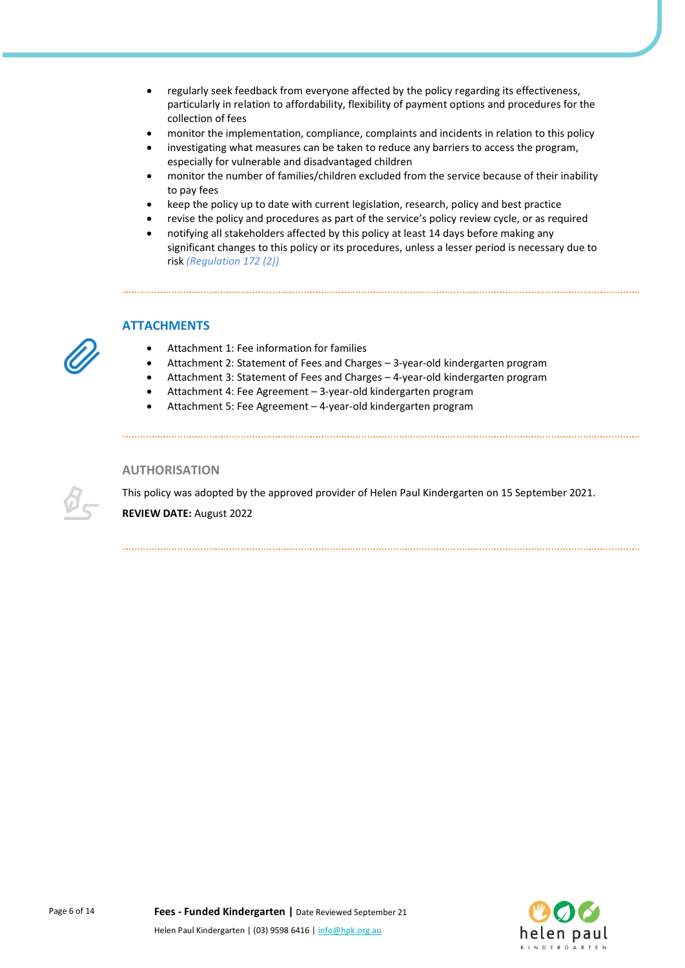- regularly seek feedback from everyone affected by the policy regarding its effectiveness, particularly in relation to affordability, flexibility of payment options and procedures for the collection of fees
- monitor the implementation, compliance, complaints and incidents in relation to this policy
- investigating what measures can be taken to reduce any barriers to access the program, especially for vulnerable and disadvantaged children
- monitor the number of families/children excluded from the service because of their inability to pay fees
- keep the policy up to date with current legislation, research, policy and best practice
- revise the policy and procedures as part of the service's policy review cycle, or as required
- notifying all stakeholders affected by this policy at least 14 days before making any significant changes to this policy or its procedures, unless a lesser period is necessary due to risk *(Regulation 172 (2))*

## **ATTACHMENTS**

- Attachment 1: Fee information for families
- Attachment 2: Statement of Fees and Charges 3-year-old kindergarten program
- Attachment 3: Statement of Fees and Charges 4-year-old kindergarten program
- Attachment 4: Fee Agreement 3-year-old kindergarten program
- Attachment 5: Fee Agreement 4-year-old kindergarten program

#### **AUTHORISATION**

This policy was adopted by the approved provider of Helen Paul Kindergarten on 15 September 2021. **REVIEW DATE:** August 2022



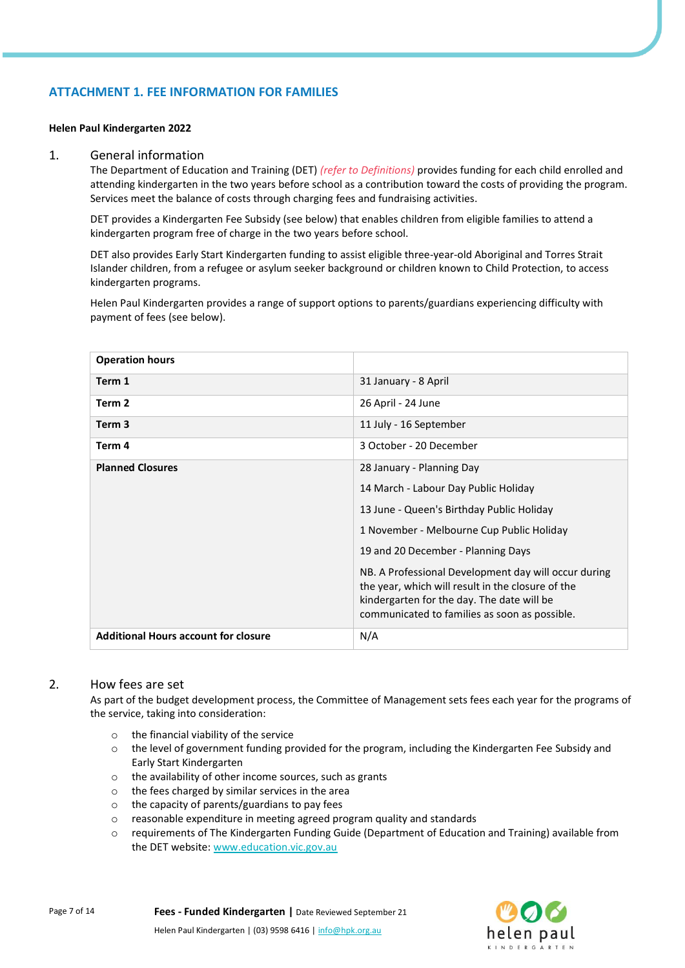## **ATTACHMENT 1. FEE INFORMATION FOR FAMILIES**

#### **Helen Paul Kindergarten 2022**

#### 1. General information

The Department of Education and Training (DET) *(refer to Definitions)* provides funding for each child enrolled and attending kindergarten in the two years before school as a contribution toward the costs of providing the program. Services meet the balance of costs through charging fees and fundraising activities.

DET provides a Kindergarten Fee Subsidy (see below) that enables children from eligible families to attend a kindergarten program free of charge in the two years before school.

DET also provides Early Start Kindergarten funding to assist eligible three-year-old Aboriginal and Torres Strait Islander children, from a refugee or asylum seeker background or children known to Child Protection, to access kindergarten programs.

Helen Paul Kindergarten provides a range of support options to parents/guardians experiencing difficulty with payment of fees (see below).

| <b>Operation hours</b>                      |                                                                                                                                                                                                          |
|---------------------------------------------|----------------------------------------------------------------------------------------------------------------------------------------------------------------------------------------------------------|
| Term 1                                      | 31 January - 8 April                                                                                                                                                                                     |
| Term 2                                      | 26 April - 24 June                                                                                                                                                                                       |
| Term 3                                      | 11 July - 16 September                                                                                                                                                                                   |
| Term 4                                      | 3 October - 20 December                                                                                                                                                                                  |
| <b>Planned Closures</b>                     | 28 January - Planning Day                                                                                                                                                                                |
|                                             | 14 March - Labour Day Public Holiday                                                                                                                                                                     |
|                                             | 13 June - Queen's Birthday Public Holiday                                                                                                                                                                |
|                                             | 1 November - Melbourne Cup Public Holiday                                                                                                                                                                |
|                                             | 19 and 20 December - Planning Days                                                                                                                                                                       |
|                                             | NB. A Professional Development day will occur during<br>the year, which will result in the closure of the<br>kindergarten for the day. The date will be<br>communicated to families as soon as possible. |
| <b>Additional Hours account for closure</b> | N/A                                                                                                                                                                                                      |

#### 2. How fees are set

As part of the budget development process, the Committee of Management sets fees each year for the programs of the service, taking into consideration:

- o the financial viability of the service
- $\circ$  the level of government funding provided for the program, including the Kindergarten Fee Subsidy and Early Start Kindergarten
- o the availability of other income sources, such as grants
- o the fees charged by similar services in the area
- o the capacity of parents/guardians to pay fees
- o reasonable expenditure in meeting agreed program quality and standards
- o requirements of The Kindergarten Funding Guide (Department of Education and Training) available from the DET website[: www.education.vic.gov.au](https://www.education.vic.gov.au/Pages/default.aspx)



Page 7 of 14 **Fees - Funded Kindergarten |** Date Reviewed September 21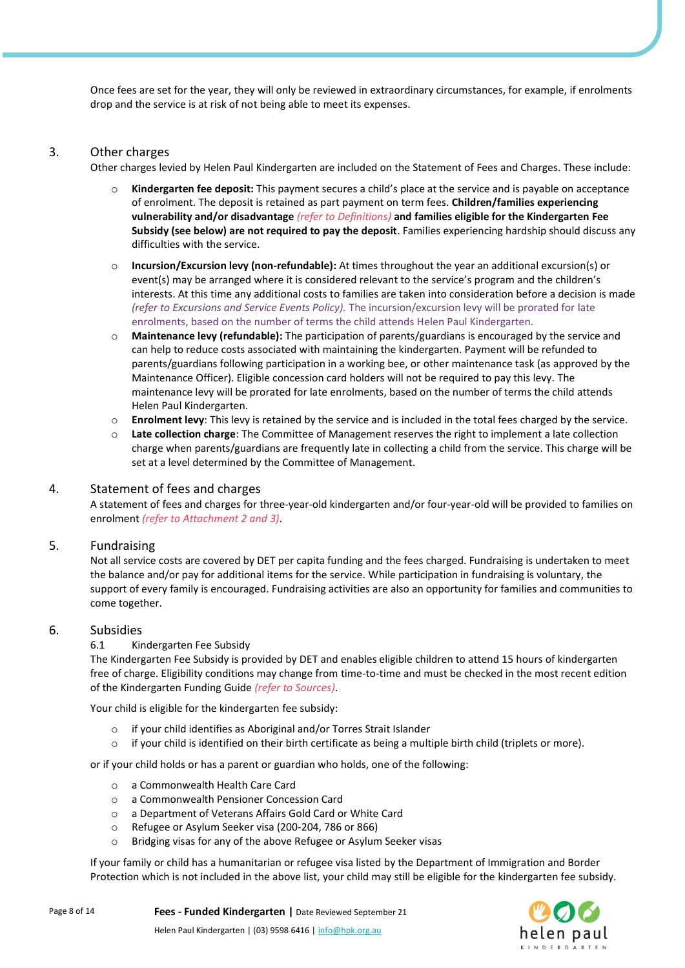Once fees are set for the year, they will only be reviewed in extraordinary circumstances, for example, if enrolments drop and the service is at risk of not being able to meet its expenses.

### 3. Other charges

Other charges levied by Helen Paul Kindergarten are included on the Statement of Fees and Charges. These include:

- o **Kindergarten fee deposit:** This payment secures a child's place at the service and is payable on acceptance of enrolment. The deposit is retained as part payment on term fees. **Children/families experiencing vulnerability and/or disadvantage** *(refer to Definitions)* **and families eligible for the Kindergarten Fee Subsidy (see below) are not required to pay the deposit**. Families experiencing hardship should discuss any difficulties with the service.
- o **Incursion/Excursion levy (non-refundable):** At times throughout the year an additional excursion(s) or event(s) may be arranged where it is considered relevant to the service's program and the children's interests. At this time any additional costs to families are taken into consideration before a decision is made *(refer to Excursions and Service Events Policy).* The incursion/excursion levy will be prorated for late enrolments, based on the number of terms the child attends Helen Paul Kindergarten.
- o **Maintenance levy (refundable):** The participation of parents/guardians is encouraged by the service and can help to reduce costs associated with maintaining the kindergarten. Payment will be refunded to parents/guardians following participation in a working bee, or other maintenance task (as approved by the Maintenance Officer). Eligible concession card holders will not be required to pay this levy. The maintenance levy will be prorated for late enrolments, based on the number of terms the child attends Helen Paul Kindergarten.
- o **Enrolment levy**: This levy is retained by the service and is included in the total fees charged by the service.
- o **Late collection charge**: The Committee of Management reserves the right to implement a late collection charge when parents/guardians are frequently late in collecting a child from the service. This charge will be set at a level determined by the Committee of Management.

## 4. Statement of fees and charges

A statement of fees and charges for three-year-old kindergarten and/or four-year-old will be provided to families on enrolment *(refer to Attachment 2 and 3)*.

## 5. Fundraising

Not all service costs are covered by DET per capita funding and the fees charged. Fundraising is undertaken to meet the balance and/or pay for additional items for the service. While participation in fundraising is voluntary, the support of every family is encouraged. Fundraising activities are also an opportunity for families and communities to come together.

#### 6. Subsidies

#### 6.1 Kindergarten Fee Subsidy

The Kindergarten Fee Subsidy is provided by DET and enables eligible children to attend 15 hours of kindergarten free of charge. Eligibility conditions may change from time-to-time and must be checked in the most recent edition of the Kindergarten Funding Guide *(refer to Sources)*.

Your child is eligible for the kindergarten fee subsidy:

- o if your child identifies as Aboriginal and/or Torres Strait Islander
- $\circ$  if your child is identified on their birth certificate as being a multiple birth child (triplets or more).

or if your child holds or has a parent or guardian who holds, one of the following:

- o a Commonwealth Health Care Card
- o a Commonwealth Pensioner Concession Card
- o a Department of Veterans Affairs Gold Card or White Card
- o Refugee or Asylum Seeker visa (200-204, 786 or 866)
- o Bridging visas for any of the above Refugee or Asylum Seeker visas

If your family or child has a humanitarian or refugee visa listed by the Department of Immigration and Border Protection which is not included in the above list, your child may still be eligible for the kindergarten fee subsidy.

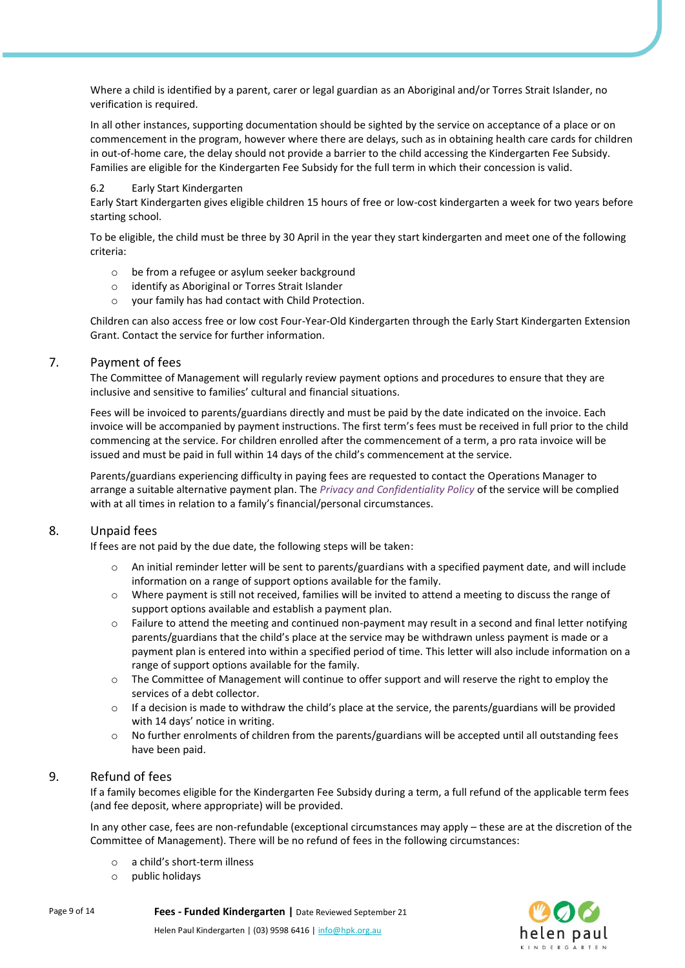Where a child is identified by a parent, carer or legal guardian as an Aboriginal and/or Torres Strait Islander, no verification is required.

In all other instances, supporting documentation should be sighted by the service on acceptance of a place or on commencement in the program, however where there are delays, such as in obtaining health care cards for children in out-of-home care, the delay should not provide a barrier to the child accessing the Kindergarten Fee Subsidy. Families are eligible for the Kindergarten Fee Subsidy for the full term in which their concession is valid.

#### 6.2 Early Start Kindergarten

Early Start Kindergarten gives eligible children 15 hours of free or low-cost kindergarten a week for two years before starting school.

To be eligible, the child must be three by 30 April in the year they start kindergarten and meet one of the following criteria:

- o be from a refugee or asylum seeker background
- o identify as Aboriginal or Torres Strait Islander
- o your family has had contact with Child Protection.

Children can also access free or low cost Four-Year-Old Kindergarten through the Early Start Kindergarten Extension Grant. Contact the service for further information.

#### 7. Payment of fees

The Committee of Management will regularly review payment options and procedures to ensure that they are inclusive and sensitive to families' cultural and financial situations.

Fees will be invoiced to parents/guardians directly and must be paid by the date indicated on the invoice. Each invoice will be accompanied by payment instructions. The first term's fees must be received in full prior to the child commencing at the service. For children enrolled after the commencement of a term, a pro rata invoice will be issued and must be paid in full within 14 days of the child's commencement at the service.

Parents/guardians experiencing difficulty in paying fees are requested to contact the Operations Manager to arrange a suitable alternative payment plan. The *Privacy and Confidentiality Policy* of the service will be complied with at all times in relation to a family's financial/personal circumstances.

## 8. Unpaid fees

If fees are not paid by the due date, the following steps will be taken:

- o An initial reminder letter will be sent to parents/guardians with a specified payment date, and will include information on a range of support options available for the family.
- o Where payment is still not received, families will be invited to attend a meeting to discuss the range of support options available and establish a payment plan.
- $\circ$  Failure to attend the meeting and continued non-payment may result in a second and final letter notifying parents/guardians that the child's place at the service may be withdrawn unless payment is made or a payment plan is entered into within a specified period of time. This letter will also include information on a range of support options available for the family.
- o The Committee of Management will continue to offer support and will reserve the right to employ the services of a debt collector.
- $\circ$  If a decision is made to withdraw the child's place at the service, the parents/guardians will be provided with 14 days' notice in writing.
- o No further enrolments of children from the parents/guardians will be accepted until all outstanding fees have been paid.

## 9. Refund of fees

If a family becomes eligible for the Kindergarten Fee Subsidy during a term, a full refund of the applicable term fees (and fee deposit, where appropriate) will be provided.

In any other case, fees are non-refundable (exceptional circumstances may apply – these are at the discretion of the Committee of Management). There will be no refund of fees in the following circumstances:

- o a child's short-term illness
- o public holidays

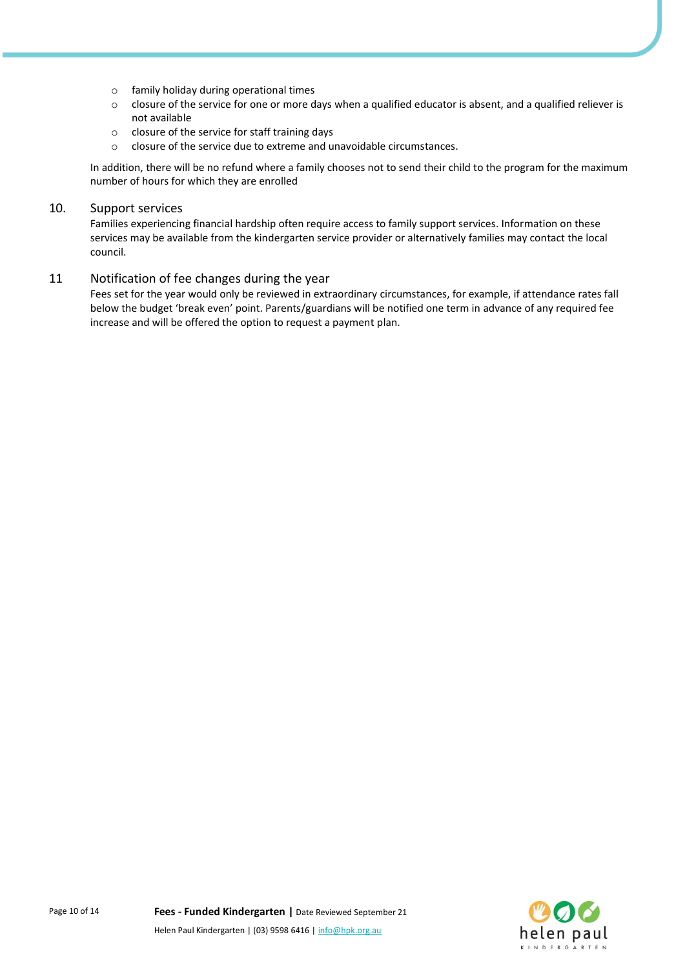- o family holiday during operational times
- $\circ$  closure of the service for one or more days when a qualified educator is absent, and a qualified reliever is not available
- o closure of the service for staff training days
- o closure of the service due to extreme and unavoidable circumstances.

In addition, there will be no refund where a family chooses not to send their child to the program for the maximum number of hours for which they are enrolled

## 10. Support services

Families experiencing financial hardship often require access to family support services. Information on these services may be available from the kindergarten service provider or alternatively families may contact the local council.

#### 11 Notification of fee changes during the year

Fees set for the year would only be reviewed in extraordinary circumstances, for example, if attendance rates fall below the budget 'break even' point. Parents/guardians will be notified one term in advance of any required fee increase and will be offered the option to request a payment plan.

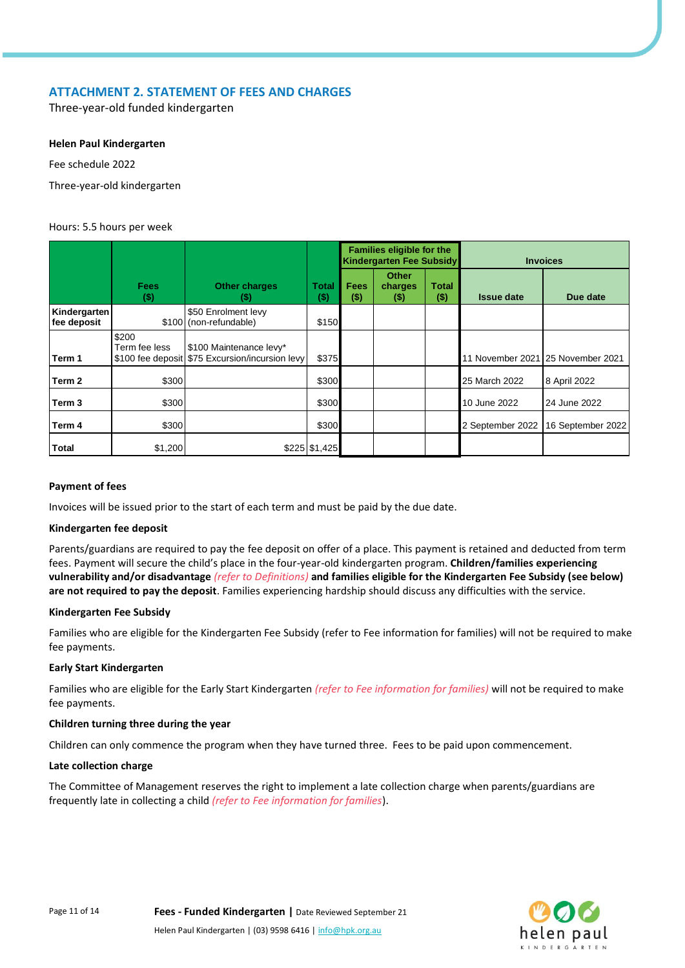## **ATTACHMENT 2. STATEMENT OF FEES AND CHARGES**

Three-year-old funded kindergarten

#### **Helen Paul Kindergarten**

Fee schedule 2022

Three-year-old kindergarten

#### Hours: 5.5 hours per week

|                             |                        |                                                                            |               | <b>Families eligible for the</b><br><b>Kindergarten Fee Subsidy</b> |                                |                  | <b>Invoices</b>   |                                   |  |
|-----------------------------|------------------------|----------------------------------------------------------------------------|---------------|---------------------------------------------------------------------|--------------------------------|------------------|-------------------|-----------------------------------|--|
|                             | <b>Fees</b><br>$($)$   | <b>Other charges</b><br>(\$)                                               | Total<br>(\$) | <b>Fees</b><br>$($ \$)                                              | <b>Other</b><br>charges<br>(5) | Total<br>$($ \$) | <b>Issue date</b> | Due date                          |  |
| Kindergarten<br>fee deposit |                        | \$50 Enrolment levy<br>\$100 (non-refundable)                              | \$150         |                                                                     |                                |                  |                   |                                   |  |
| Term 1                      | \$200<br>Term fee less | \$100 Maintenance levy*<br>\$100 fee deposit \$75 Excursion/incursion levy | \$375         |                                                                     |                                |                  |                   | 11 November 2021 25 November 2021 |  |
| Term 2                      | \$300                  |                                                                            | \$300         |                                                                     |                                |                  | 25 March 2022     | 8 April 2022                      |  |
| Term <sub>3</sub>           | \$300                  |                                                                            | \$300         |                                                                     |                                |                  | 10 June 2022      | 24 June 2022                      |  |
| Term 4                      | \$300                  |                                                                            | \$300         |                                                                     |                                |                  | 2 September 2022  | 16 September 2022                 |  |
| <b>Total</b>                | \$1,200                |                                                                            | \$225 \$1,425 |                                                                     |                                |                  |                   |                                   |  |

#### **Payment of fees**

Invoices will be issued prior to the start of each term and must be paid by the due date.

#### **Kindergarten fee deposit**

Parents/guardians are required to pay the fee deposit on offer of a place. This payment is retained and deducted from term fees. Payment will secure the child's place in the four-year-old kindergarten program. **Children/families experiencing vulnerability and/or disadvantage** *(refer to Definitions)* **and families eligible for the Kindergarten Fee Subsidy (see below) are not required to pay the deposit**. Families experiencing hardship should discuss any difficulties with the service.

#### **Kindergarten Fee Subsidy**

Families who are eligible for the Kindergarten Fee Subsidy (refer to Fee information for families) will not be required to make fee payments.

#### **Early Start Kindergarten**

Families who are eligible for the Early Start Kindergarten *(refer to Fee information for families)* will not be required to make fee payments.

#### **Children turning three during the year**

Children can only commence the program when they have turned three. Fees to be paid upon commencement.

#### **Late collection charge**

The Committee of Management reserves the right to implement a late collection charge when parents/guardians are frequently late in collecting a child *(refer to Fee information for families*).

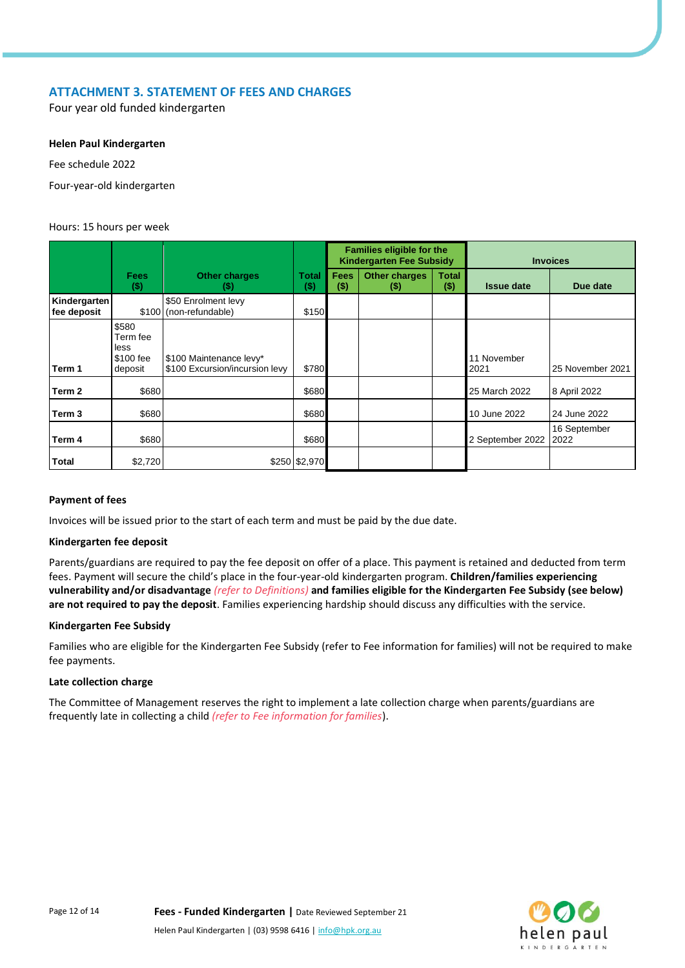## **ATTACHMENT 3. STATEMENT OF FEES AND CHARGES**

Four year old funded kindergarten

#### **Helen Paul Kindergarten**

Fee schedule 2022

Four-year-old kindergarten

#### Hours: 15 hours per week

|                             |                                                   |                                                           |                      | <b>Families eligible for the</b><br><b>Kindergarten Fee Subsidy</b> |                               |                         | <b>Invoices</b>     |                      |
|-----------------------------|---------------------------------------------------|-----------------------------------------------------------|----------------------|---------------------------------------------------------------------|-------------------------------|-------------------------|---------------------|----------------------|
|                             | <b>Fees</b><br>$($)$                              | <b>Other charges</b><br>$($)$                             | <b>Total</b><br>(\$) | <b>Fees</b><br>$($ \$)                                              | <b>Other charges</b><br>$($)$ | <b>Total</b><br>$($ \$) | <b>Issue date</b>   | Due date             |
| Kindergarten<br>fee deposit |                                                   | \$50 Enrolment levy<br>\$100 (non-refundable)             | \$150                |                                                                     |                               |                         |                     |                      |
| Term 1                      | \$580<br>Term fee<br>less<br>\$100 fee<br>deposit | \$100 Maintenance levy*<br>\$100 Excursion/incursion levy | \$780                |                                                                     |                               |                         | 11 November<br>2021 | 25 November 2021     |
| Term 2                      | \$680                                             |                                                           | \$680                |                                                                     |                               |                         | 25 March 2022       | 8 April 2022         |
| Term 3                      | \$680                                             |                                                           | \$680                |                                                                     |                               |                         | 10 June 2022        | 24 June 2022         |
| Term 4                      | \$680                                             |                                                           | \$680                |                                                                     |                               |                         | 2 September 2022    | 16 September<br>2022 |
| Total                       | \$2,720                                           |                                                           | \$250 \$2,970        |                                                                     |                               |                         |                     |                      |

#### **Payment of fees**

Invoices will be issued prior to the start of each term and must be paid by the due date.

#### **Kindergarten fee deposit**

Parents/guardians are required to pay the fee deposit on offer of a place. This payment is retained and deducted from term fees. Payment will secure the child's place in the four-year-old kindergarten program. **Children/families experiencing vulnerability and/or disadvantage** *(refer to Definitions)* **and families eligible for the Kindergarten Fee Subsidy (see below) are not required to pay the deposit**. Families experiencing hardship should discuss any difficulties with the service.

#### **Kindergarten Fee Subsidy**

Families who are eligible for the Kindergarten Fee Subsidy (refer to Fee information for families) will not be required to make fee payments.

#### **Late collection charge**

The Committee of Management reserves the right to implement a late collection charge when parents/guardians are frequently late in collecting a child *(refer to Fee information for families*).

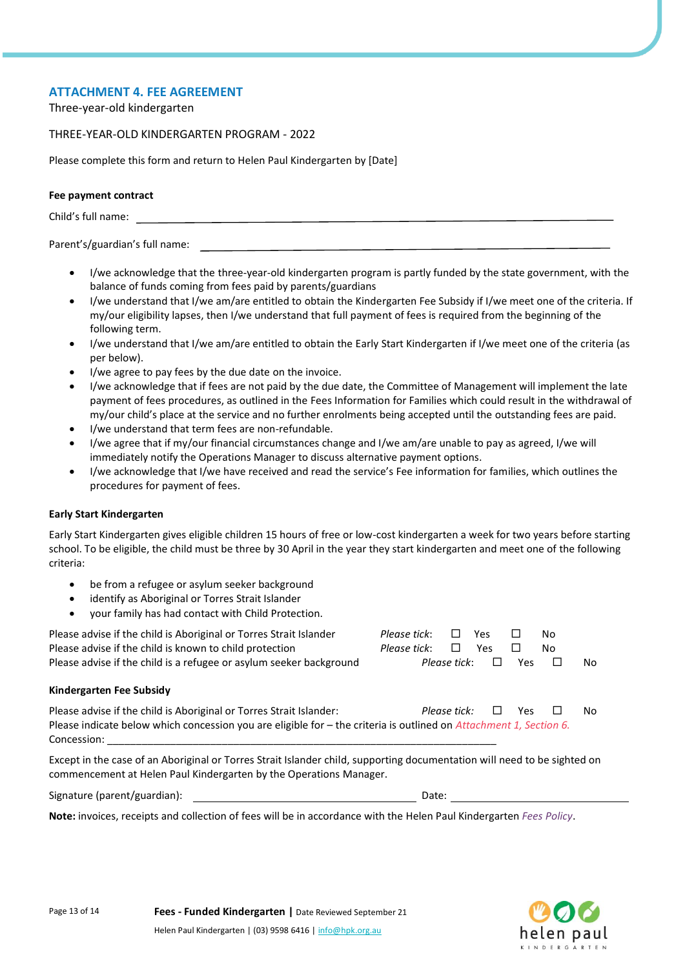## **ATTACHMENT 4. FEE AGREEMENT**

Three-year-old kindergarten

#### THREE-YEAR-OLD KINDERGARTEN PROGRAM - 2022

Please complete this form and return to Helen Paul Kindergarten by [Date]

#### **Fee payment contract**

Child's full name:

#### Parent's/guardian's full name:

- I/we acknowledge that the three-year-old kindergarten program is partly funded by the state government, with the balance of funds coming from fees paid by parents/guardians
- I/we understand that I/we am/are entitled to obtain the Kindergarten Fee Subsidy if I/we meet one of the criteria. If my/our eligibility lapses, then I/we understand that full payment of fees is required from the beginning of the following term.
- I/we understand that I/we am/are entitled to obtain the Early Start Kindergarten if I/we meet one of the criteria (as per below).
- I/we agree to pay fees by the due date on the invoice.
- I/we acknowledge that if fees are not paid by the due date, the Committee of Management will implement the late payment of fees procedures, as outlined in the Fees Information for Families which could result in the withdrawal of my/our child's place at the service and no further enrolments being accepted until the outstanding fees are paid.
- I/we understand that term fees are non-refundable.
- I/we agree that if my/our financial circumstances change and I/we am/are unable to pay as agreed, I/we will immediately notify the Operations Manager to discuss alternative payment options.
- I/we acknowledge that I/we have received and read the service's Fee information for families, which outlines the procedures for payment of fees.

#### **Early Start Kindergarten**

Early Start Kindergarten gives eligible children 15 hours of free or low-cost kindergarten a week for two years before starting school. To be eligible, the child must be three by 30 April in the year they start kindergarten and meet one of the following criteria:

- be from a refugee or asylum seeker background
- identify as Aboriginal or Torres Strait Islander
- your family has had contact with Child Protection.

| Please advise if the child is Aboriginal or Torres Strait Islander<br>Please advise if the child is known to child protection                                                                            | Please tick:<br>Please tick: | Yes<br>$\Box$<br>$\Box$<br>Yes | □          | No.<br>No |     |
|----------------------------------------------------------------------------------------------------------------------------------------------------------------------------------------------------------|------------------------------|--------------------------------|------------|-----------|-----|
| Please advise if the child is a refugee or asylum seeker background                                                                                                                                      |                              | Please tick:                   | <b>Yes</b> | ப         | No. |
| Kindergarten Fee Subsidy                                                                                                                                                                                 |                              |                                |            |           |     |
| Please advise if the child is Aboriginal or Torres Strait Islander:<br>Please indicate below which concession you are eligible for - the criteria is outlined on Attachment 1, Section 6.<br>Concession: |                              | Please tick:                   | <b>Yes</b> |           | No  |
| Except in the case of an Aboriginal or Torres Strait Islander child, supporting documentation will need to be sighted on<br>commencement at Helen Paul Kindergarten by the Operations Manager.           |                              |                                |            |           |     |
| Signature (parent/guardian):                                                                                                                                                                             | Date:                        |                                |            |           |     |
| <b>Note:</b> invoices, receipts and collection of fees will be in accordance with the Helen Paul Kindergarten Fees Policy                                                                                |                              |                                |            |           |     |